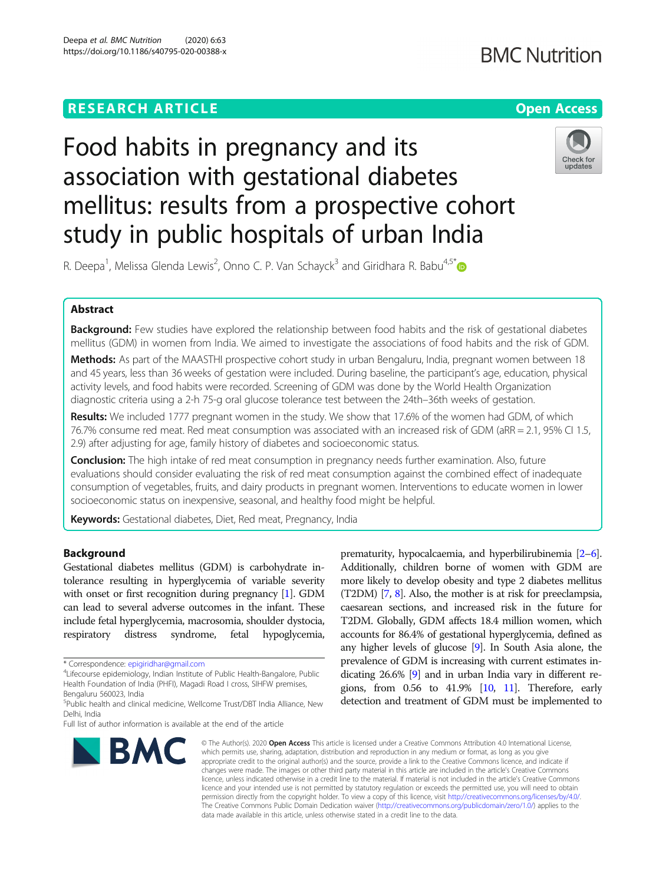### **RESEARCH ARTICLE Example 2014 12:30 The Contract of Contract ACCESS**

## **BMC Nutrition**

# Food habits in pregnancy and its association with gestational diabetes mellitus: results from a prospective cohort study in public hospitals of urban India



R. Deepa<sup>1</sup>, Melissa Glenda Lewis<sup>2</sup>, Onno C. P. Van Schayck<sup>3</sup> and Giridhara R. Babu<sup>4,5\*</sup>

#### Abstract

Background: Few studies have explored the relationship between food habits and the risk of gestational diabetes mellitus (GDM) in women from India. We aimed to investigate the associations of food habits and the risk of GDM.

Methods: As part of the MAASTHI prospective cohort study in urban Bengaluru, India, pregnant women between 18 and 45 years, less than 36 weeks of gestation were included. During baseline, the participant's age, education, physical activity levels, and food habits were recorded. Screening of GDM was done by the World Health Organization diagnostic criteria using a 2-h 75-g oral glucose tolerance test between the 24th–36th weeks of gestation.

Results: We included 1777 pregnant women in the study. We show that 17.6% of the women had GDM, of which 76.7% consume red meat. Red meat consumption was associated with an increased risk of GDM (aRR = 2.1, 95% CI 1.5, 2.9) after adjusting for age, family history of diabetes and socioeconomic status.

**Conclusion:** The high intake of red meat consumption in pregnancy needs further examination. Also, future evaluations should consider evaluating the risk of red meat consumption against the combined effect of inadequate consumption of vegetables, fruits, and dairy products in pregnant women. Interventions to educate women in lower socioeconomic status on inexpensive, seasonal, and healthy food might be helpful.

Keywords: Gestational diabetes, Diet, Red meat, Pregnancy, India

#### Background

Gestational diabetes mellitus (GDM) is carbohydrate intolerance resulting in hyperglycemia of variable severity with onset or first recognition during pregnancy [\[1](#page-7-0)]. GDM can lead to several adverse outcomes in the infant. These include fetal hyperglycemia, macrosomia, shoulder dystocia, respiratory distress syndrome, fetal hypoglycemia,

<sup>4</sup>Lifecourse epidemiology, Indian Institute of Public Health-Bangalore, Public Health Foundation of India (PHFI), Magadi Road I cross, SIHFW premises, Bengaluru 560023, India

Full list of author information is available at the end of the article



prematurity, hypocalcaemia, and hyperbilirubinemia [\[2](#page-7-0)–[6](#page-7-0)]. Additionally, children borne of women with GDM are more likely to develop obesity and type 2 diabetes mellitus (T2DM) [[7](#page-7-0), [8\]](#page-7-0). Also, the mother is at risk for preeclampsia, caesarean sections, and increased risk in the future for T2DM. Globally, GDM affects 18.4 million women, which accounts for 86.4% of gestational hyperglycemia, defined as any higher levels of glucose [[9](#page-7-0)]. In South Asia alone, the prevalence of GDM is increasing with current estimates indicating 26.6% [[9](#page-7-0)] and in urban India vary in different regions, from 0.56 to 41.9% [\[10](#page-7-0), [11](#page-7-0)]. Therefore, early detection and treatment of GDM must be implemented to

© The Author(s), 2020 **Open Access** This article is licensed under a Creative Commons Attribution 4.0 International License, which permits use, sharing, adaptation, distribution and reproduction in any medium or format, as long as you give appropriate credit to the original author(s) and the source, provide a link to the Creative Commons licence, and indicate if changes were made. The images or other third party material in this article are included in the article's Creative Commons licence, unless indicated otherwise in a credit line to the material. If material is not included in the article's Creative Commons licence and your intended use is not permitted by statutory regulation or exceeds the permitted use, you will need to obtain permission directly from the copyright holder. To view a copy of this licence, visit [http://creativecommons.org/licenses/by/4.0/.](http://creativecommons.org/licenses/by/4.0/) The Creative Commons Public Domain Dedication waiver [\(http://creativecommons.org/publicdomain/zero/1.0/](http://creativecommons.org/publicdomain/zero/1.0/)) applies to the data made available in this article, unless otherwise stated in a credit line to the data.

<sup>\*</sup> Correspondence: [epigiridhar@gmail.com](mailto:epigiridhar@gmail.com) <sup>4</sup>

<sup>5</sup> Public health and clinical medicine, Wellcome Trust/DBT India Alliance, New Delhi, India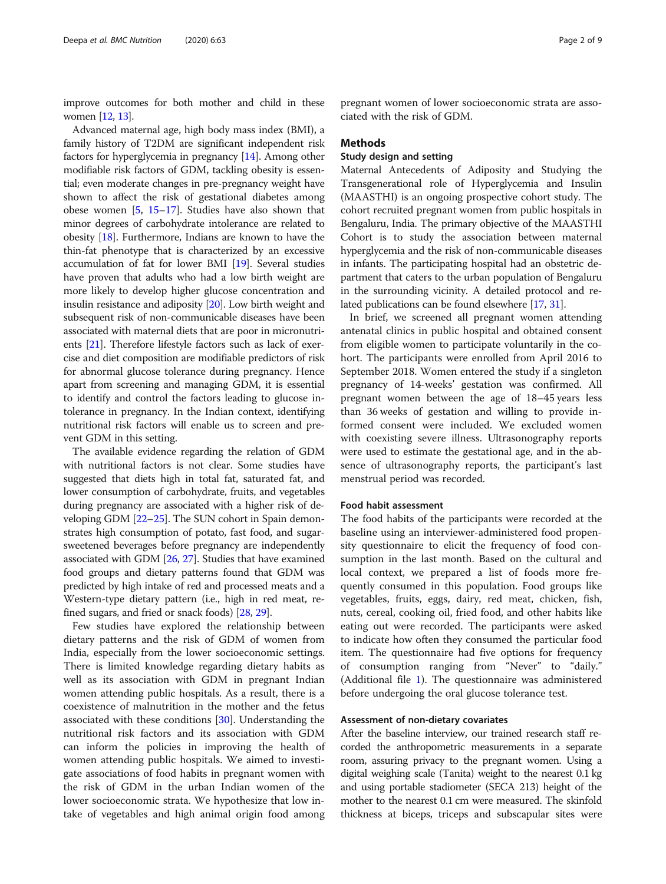improve outcomes for both mother and child in these women [\[12,](#page-7-0) [13\]](#page-7-0).

Advanced maternal age, high body mass index (BMI), a family history of T2DM are significant independent risk factors for hyperglycemia in pregnancy [[14](#page-7-0)]. Among other modifiable risk factors of GDM, tackling obesity is essential; even moderate changes in pre-pregnancy weight have shown to affect the risk of gestational diabetes among obese women [\[5,](#page-7-0) [15](#page-7-0)–[17\]](#page-7-0). Studies have also shown that minor degrees of carbohydrate intolerance are related to obesity [\[18\]](#page-7-0). Furthermore, Indians are known to have the thin-fat phenotype that is characterized by an excessive accumulation of fat for lower BMI [[19](#page-7-0)]. Several studies have proven that adults who had a low birth weight are more likely to develop higher glucose concentration and insulin resistance and adiposity [\[20\]](#page-7-0). Low birth weight and subsequent risk of non-communicable diseases have been associated with maternal diets that are poor in micronutrients [[21](#page-7-0)]. Therefore lifestyle factors such as lack of exercise and diet composition are modifiable predictors of risk for abnormal glucose tolerance during pregnancy. Hence apart from screening and managing GDM, it is essential to identify and control the factors leading to glucose intolerance in pregnancy. In the Indian context, identifying nutritional risk factors will enable us to screen and prevent GDM in this setting.

The available evidence regarding the relation of GDM with nutritional factors is not clear. Some studies have suggested that diets high in total fat, saturated fat, and lower consumption of carbohydrate, fruits, and vegetables during pregnancy are associated with a higher risk of developing GDM [[22](#page-7-0)–[25](#page-7-0)]. The SUN cohort in Spain demonstrates high consumption of potato, fast food, and sugarsweetened beverages before pregnancy are independently associated with GDM [\[26,](#page-7-0) [27](#page-7-0)]. Studies that have examined food groups and dietary patterns found that GDM was predicted by high intake of red and processed meats and a Western-type dietary pattern (i.e., high in red meat, refined sugars, and fried or snack foods) [\[28,](#page-7-0) [29](#page-7-0)].

Few studies have explored the relationship between dietary patterns and the risk of GDM of women from India, especially from the lower socioeconomic settings. There is limited knowledge regarding dietary habits as well as its association with GDM in pregnant Indian women attending public hospitals. As a result, there is a coexistence of malnutrition in the mother and the fetus associated with these conditions [[30](#page-7-0)]. Understanding the nutritional risk factors and its association with GDM can inform the policies in improving the health of women attending public hospitals. We aimed to investigate associations of food habits in pregnant women with the risk of GDM in the urban Indian women of the lower socioeconomic strata. We hypothesize that low intake of vegetables and high animal origin food among

pregnant women of lower socioeconomic strata are associated with the risk of GDM.

#### Methods

#### Study design and setting

Maternal Antecedents of Adiposity and Studying the Transgenerational role of Hyperglycemia and Insulin (MAASTHI) is an ongoing prospective cohort study. The cohort recruited pregnant women from public hospitals in Bengaluru, India. The primary objective of the MAASTHI Cohort is to study the association between maternal hyperglycemia and the risk of non-communicable diseases in infants. The participating hospital had an obstetric department that caters to the urban population of Bengaluru in the surrounding vicinity. A detailed protocol and related publications can be found elsewhere [\[17,](#page-7-0) [31](#page-7-0)].

In brief, we screened all pregnant women attending antenatal clinics in public hospital and obtained consent from eligible women to participate voluntarily in the cohort. The participants were enrolled from April 2016 to September 2018. Women entered the study if a singleton pregnancy of 14-weeks' gestation was confirmed. All pregnant women between the age of 18–45 years less than 36 weeks of gestation and willing to provide informed consent were included. We excluded women with coexisting severe illness. Ultrasonography reports were used to estimate the gestational age, and in the absence of ultrasonography reports, the participant's last menstrual period was recorded.

#### Food habit assessment

The food habits of the participants were recorded at the baseline using an interviewer-administered food propensity questionnaire to elicit the frequency of food consumption in the last month. Based on the cultural and local context, we prepared a list of foods more frequently consumed in this population. Food groups like vegetables, fruits, eggs, dairy, red meat, chicken, fish, nuts, cereal, cooking oil, fried food, and other habits like eating out were recorded. The participants were asked to indicate how often they consumed the particular food item. The questionnaire had five options for frequency of consumption ranging from "Never" to "daily." (Additional file [1\)](#page-6-0). The questionnaire was administered before undergoing the oral glucose tolerance test.

#### Assessment of non-dietary covariates

After the baseline interview, our trained research staff recorded the anthropometric measurements in a separate room, assuring privacy to the pregnant women. Using a digital weighing scale (Tanita) weight to the nearest 0.1 kg and using portable stadiometer (SECA 213) height of the mother to the nearest 0.1 cm were measured. The skinfold thickness at biceps, triceps and subscapular sites were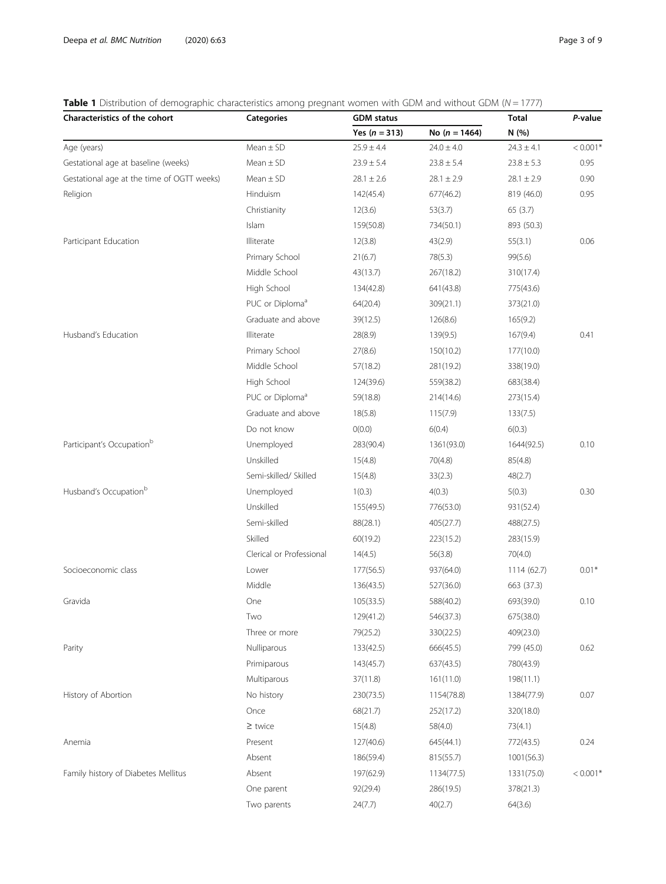#### <span id="page-2-0"></span>Table 1 Distribution of demographic characteristics among pregnant women with GDM and without GDM ( $N = 1777$ )

| Characteristics of the cohort              | <b>Categories</b>           | <b>GDM</b> status |                   | Total          | P-value    |
|--------------------------------------------|-----------------------------|-------------------|-------------------|----------------|------------|
|                                            |                             | Yes $(n = 313)$   | No ( $n = 1464$ ) | N (%)          |            |
| Age (years)                                | $Mean \pm SD$               | $25.9 \pm 4.4$    | $24.0 \pm 4.0$    | $24.3 \pm 4.1$ | $< 0.001*$ |
| Gestational age at baseline (weeks)        | $Mean \pm SD$               | $23.9 \pm 5.4$    | $23.8 \pm 5.4$    | $23.8 \pm 5.3$ | 0.95       |
| Gestational age at the time of OGTT weeks) | Mean $\pm$ SD               | $28.1 \pm 2.6$    | $28.1 \pm 2.9$    | $28.1 \pm 2.9$ | 0.90       |
| Religion                                   | Hinduism                    | 142(45.4)         | 677(46.2)         | 819 (46.0)     | 0.95       |
|                                            | Christianity                | 12(3.6)           | 53(3.7)           | 65 (3.7)       |            |
|                                            | Islam                       | 159(50.8)         | 734(50.1)         | 893 (50.3)     |            |
| Participant Education                      | Illiterate                  | 12(3.8)           | 43(2.9)           | 55(3.1)        | 0.06       |
|                                            | Primary School              | 21(6.7)           | 78(5.3)           | 99(5.6)        |            |
|                                            | Middle School               | 43(13.7)          | 267(18.2)         | 310(17.4)      |            |
|                                            | High School                 | 134(42.8)         | 641(43.8)         | 775(43.6)      |            |
|                                            | PUC or Diploma <sup>a</sup> | 64(20.4)          | 309(21.1)         | 373(21.0)      |            |
|                                            | Graduate and above          | 39(12.5)          | 126(8.6)          | 165(9.2)       |            |
| Husband's Education                        | Illiterate                  | 28(8.9)           | 139(9.5)          | 167(9.4)       | 0.41       |
|                                            | Primary School              | 27(8.6)           | 150(10.2)         | 177(10.0)      |            |
|                                            | Middle School               | 57(18.2)          | 281(19.2)         | 338(19.0)      |            |
|                                            | High School                 | 124(39.6)         | 559(38.2)         | 683(38.4)      |            |
|                                            | PUC or Diploma <sup>a</sup> | 59(18.8)          | 214(14.6)         | 273(15.4)      |            |
|                                            | Graduate and above          | 18(5.8)           | 115(7.9)          | 133(7.5)       |            |
|                                            | Do not know                 | 0(0.0)            | 6(0.4)            | 6(0.3)         |            |
| Participant's Occupation <sup>b</sup>      | Unemployed                  | 283(90.4)         | 1361(93.0)        | 1644(92.5)     | 0.10       |
|                                            | Unskilled                   | 15(4.8)           | 70(4.8)           | 85(4.8)        |            |
|                                            | Semi-skilled/ Skilled       | 15(4.8)           | 33(2.3)           | 48(2.7)        |            |
| Husband's Occupation <sup>b</sup>          | Unemployed                  | 1(0.3)            | 4(0.3)            | 5(0.3)         | 0.30       |
|                                            | Unskilled                   | 155(49.5)         | 776(53.0)         | 931(52.4)      |            |
|                                            | Semi-skilled                | 88(28.1)          | 405(27.7)         | 488(27.5)      |            |
|                                            | Skilled                     | 60(19.2)          | 223(15.2)         | 283(15.9)      |            |
|                                            | Clerical or Professional    | 14(4.5)           | 56(3.8)           | 70(4.0)        |            |
| Socioeconomic class                        | Lower                       | 177(56.5)         | 937(64.0)         | 1114 (62.7)    | $0.01*$    |
|                                            | Middle                      | 136(43.5)         | 527(36.0)         | 663 (37.3)     |            |
| Gravida                                    | One                         | 105(33.5)         | 588(40.2)         | 693(39.0)      | 0.10       |
|                                            | Two                         | 129(41.2)         | 546(37.3)         | 675(38.0)      |            |
|                                            | Three or more               | 79(25.2)          | 330(22.5)         | 409(23.0)      |            |
| Parity                                     | Nulliparous                 | 133(42.5)         | 666(45.5)         | 799 (45.0)     | 0.62       |
|                                            | Primiparous                 | 143(45.7)         | 637(43.5)         | 780(43.9)      |            |
|                                            | Multiparous                 | 37(11.8)          | 161(11.0)         | 198(11.1)      |            |
| History of Abortion                        | No history                  | 230(73.5)         | 1154(78.8)        | 1384(77.9)     | 0.07       |
|                                            | Once                        | 68(21.7)          | 252(17.2)         | 320(18.0)      |            |
|                                            | $\geq$ twice                | 15(4.8)           | 58(4.0)           | 73(4.1)        |            |
| Anemia                                     | Present                     | 127(40.6)         | 645(44.1)         | 772(43.5)      | 0.24       |
|                                            | Absent                      | 186(59.4)         | 815(55.7)         | 1001(56.3)     |            |
| Family history of Diabetes Mellitus        | Absent                      | 197(62.9)         | 1134(77.5)        | 1331(75.0)     | $< 0.001*$ |
|                                            | One parent                  | 92(29.4)          | 286(19.5)         | 378(21.3)      |            |
|                                            | Two parents                 | 24(7.7)           | 40(2.7)           | 64(3.6)        |            |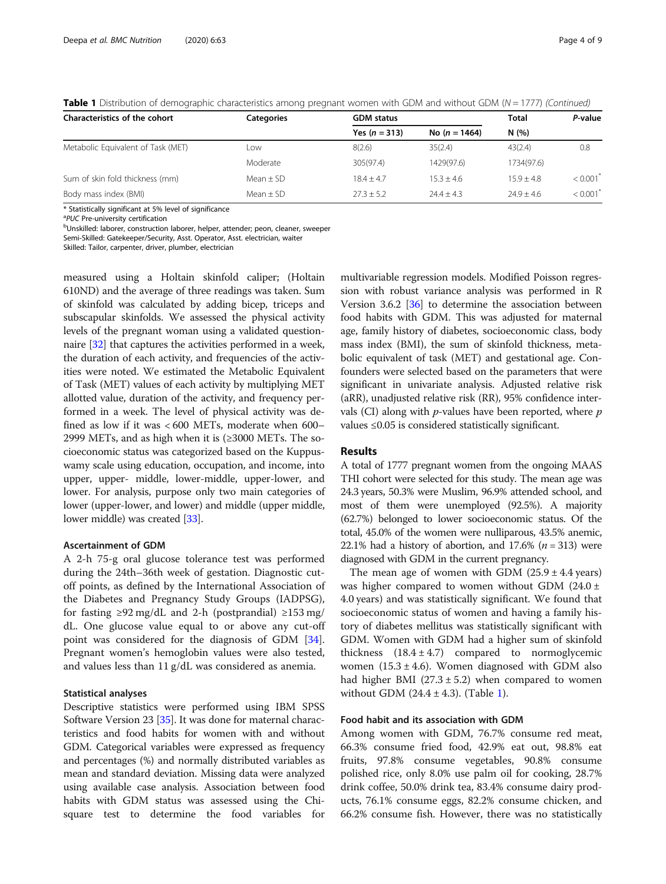| Characteristics of the cohort      | <b>Categories</b> | <b>GDM</b> status |                 | <b>Total</b> | P-value                |
|------------------------------------|-------------------|-------------------|-----------------|--------------|------------------------|
|                                    |                   | Yes $(n = 313)$   | No $(n = 1464)$ | N(%)         |                        |
| Metabolic Equivalent of Task (MET) | Low               | 8(2.6)            | 35(2.4)         | 43(2.4)      | 0.8                    |
|                                    | Moderate          | 305(97.4)         | 1429(97.6)      | 1734(97.6)   |                        |
| Sum of skin fold thickness (mm)    | Mean $\pm$ SD     | $18.4 + 4.7$      | $15.3 + 4.6$    | $15.9 + 4.8$ | $< 0.001$ <sup>*</sup> |
| Body mass index (BMI)              | Mean $\pm$ SD     | $27.3 + 5.2$      | $74.4 + 4.3$    | $74.9 + 4.6$ | $< 0.001$ <sup>*</sup> |

Table 1 Distribution of demographic characteristics among pregnant women with GDM and without GDM ( $N = 1777$ ) (Continued)

\* Statistically significant at 5% level of significance

<sup>a</sup>PUC Pre-university certification

<sup>a</sup>PUC Pre-university certification<br><sup>b</sup>Unskilled: laborer, construction laborer, helper, attender; peon, cleaner, sweeper

Semi-Skilled: Gatekeeper/Security, Asst. Operator, Asst. electrician, waiter

Skilled: Tailor, carpenter, driver, plumber, electrician

measured using a Holtain skinfold caliper; (Holtain 610ND) and the average of three readings was taken. Sum of skinfold was calculated by adding bicep, triceps and subscapular skinfolds. We assessed the physical activity levels of the pregnant woman using a validated questionnaire [[32](#page-7-0)] that captures the activities performed in a week, the duration of each activity, and frequencies of the activities were noted. We estimated the Metabolic Equivalent of Task (MET) values of each activity by multiplying MET allotted value, duration of the activity, and frequency performed in a week. The level of physical activity was defined as low if it was < 600 METs, moderate when 600– 2999 METs, and as high when it is  $(\geq 3000 \text{ METs.}$  The socioeconomic status was categorized based on the Kuppuswamy scale using education, occupation, and income, into upper, upper- middle, lower-middle, upper-lower, and lower. For analysis, purpose only two main categories of lower (upper-lower, and lower) and middle (upper middle, lower middle) was created [\[33\]](#page-7-0).

#### Ascertainment of GDM

A 2-h 75-g oral glucose tolerance test was performed during the 24th–36th week of gestation. Diagnostic cutoff points, as defined by the International Association of the Diabetes and Pregnancy Study Groups (IADPSG), for fasting  $\geq 92 \text{ mg/dL}$  and 2-h (postprandial)  $\geq 153 \text{ mg/d}$ dL. One glucose value equal to or above any cut-off point was considered for the diagnosis of GDM [\[34](#page-7-0)]. Pregnant women's hemoglobin values were also tested, and values less than 11 g/dL was considered as anemia.

#### Statistical analyses

Descriptive statistics were performed using IBM SPSS Software Version 23 [\[35\]](#page-7-0). It was done for maternal characteristics and food habits for women with and without GDM. Categorical variables were expressed as frequency and percentages (%) and normally distributed variables as mean and standard deviation. Missing data were analyzed using available case analysis. Association between food habits with GDM status was assessed using the Chisquare test to determine the food variables for

multivariable regression models. Modified Poisson regression with robust variance analysis was performed in R Version 3.6.2 [\[36\]](#page-7-0) to determine the association between food habits with GDM. This was adjusted for maternal age, family history of diabetes, socioeconomic class, body mass index (BMI), the sum of skinfold thickness, metabolic equivalent of task (MET) and gestational age. Confounders were selected based on the parameters that were significant in univariate analysis. Adjusted relative risk (aRR), unadjusted relative risk (RR), 95% confidence intervals (CI) along with  $p$ -values have been reported, where  $p$ values ≤0.05 is considered statistically significant.

#### Results

A total of 1777 pregnant women from the ongoing MAAS THI cohort were selected for this study. The mean age was 24.3 years, 50.3% were Muslim, 96.9% attended school, and most of them were unemployed (92.5%). A majority (62.7%) belonged to lower socioeconomic status. Of the total, 45.0% of the women were nulliparous, 43.5% anemic, 22.1% had a history of abortion, and 17.6%  $(n = 313)$  were diagnosed with GDM in the current pregnancy.

The mean age of women with GDM  $(25.9 \pm 4.4 \text{ years})$ was higher compared to women without GDM (24.0  $\pm$ 4.0 years) and was statistically significant. We found that socioeconomic status of women and having a family history of diabetes mellitus was statistically significant with GDM. Women with GDM had a higher sum of skinfold thickness  $(18.4 \pm 4.7)$  compared to normoglycemic women  $(15.3 \pm 4.6)$ . Women diagnosed with GDM also had higher BMI  $(27.3 \pm 5.2)$  when compared to women without GDM  $(24.4 \pm 4.3)$ . (Table [1\)](#page-2-0).

#### Food habit and its association with GDM

Among women with GDM, 76.7% consume red meat, 66.3% consume fried food, 42.9% eat out, 98.8% eat fruits, 97.8% consume vegetables, 90.8% consume polished rice, only 8.0% use palm oil for cooking, 28.7% drink coffee, 50.0% drink tea, 83.4% consume dairy products, 76.1% consume eggs, 82.2% consume chicken, and 66.2% consume fish. However, there was no statistically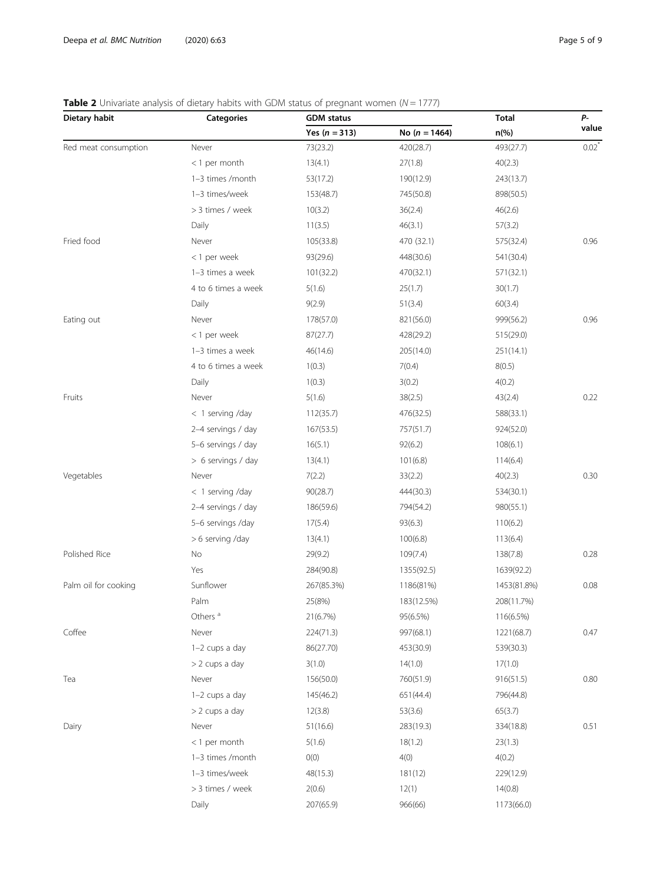#### Dietary habit Categories GDM status Total P- $\overline{Y}$ es (n = 313) No (n = 1464) n(%) value Red meat consumption Never Never 73(23.2) 420(28.7) 493(27.7) 0.02<sup>\*</sup>  $(2.3)$   $(1.8)$   $(2.3)$ 1–3 times /month 53(17.2) 190(12.9) 243(13.7) 1–3 times/week 153(48.7) 745(50.8) 898(50.5) > 3 times / week 10(3.2) 36(2.4) 46(2.6) Daily 11(3.5) 46(3.1) 57(3.2) Fried food Never 105(33.8) 470 (32.1) 575(32.4) 0.96 < 1 per week 93(29.6) 448(30.6) 541(30.4) 1–3 times a week 101(32.2) 470(32.1) 571(32.1) 4 to 6 times a week  $5(1.6)$   $25(1.7)$   $30(1.7)$ Daily 9(2.9) 51(3.4) 60(3.4) Eating out Never 178(57.0) 821(56.0) 999(56.2) 0.96 < 1 per week 87(27.7) 428(29.2) 515(29.0) 1–3 times a week 46(14.6) 205(14.0) 251(14.1) 4 to 6 times a week 1(0.3) 7(0.4) 7 (0.4) 8(0.5) Daily 1(0.3) 3(0.2) 4(0.2) Fruits Never 5(1.6) 38(2.5) 43(2.4) 0.22 < 1 serving /day 112(35.7) 476(32.5) 588(33.1) 2–4 servings / day 167(53.5) 757(51.7) 924(52.0) 5–6 servings / day 16(5.1) 92(6.2) 108(6.1) > 6 servings / day 13(4.1) 101(6.8) 114(6.4) Vegetables Never 7(2.2) 33(2.2) 40(2.3) 0.30 < 1 serving /day 90(28.7) 444(30.3) 534(30.1) 2–4 servings / day 186(59.6) 794(54.2) 980(55.1) 5–6 servings /day 17(5.4) 93(6.3) 110(6.2) > 6 serving /day 13(4.1) 100(6.8) 113(6.4) Polished Rice No 29(9.2) 109(7.4) 138(7.8) 0.28 Yes 284(90.8) 1355(92.5) 1639(92.2) Palm oil for cooking Sunflower 267(85.3%) 1186(81%) 1186(81%) 1453(81.8%) 0.08 Palm 25(8%) 183(12.5%) 208(11.7%) Others <sup>a</sup> 21(6.7%) 21(6.7%) 95(6.5%) 95(6.5%) Coffee Never 224(71.3) 997(68.1) 1221(68.7) 0.47 1–2 cups a day 86(27.70) 453(30.9) 539(30.3)  $>$  2 cups a day 3(1.0) 14(1.0) 17(1.0) Tea 16650.0) 156(50.0) 760(51.9) 760(51.9) 916(51.5) 0.80 1–2 cups a day 145(46.2) 651(44.4) 796(44.8)  $> 2$  cups a day  $12(3.8)$  53(3.6) 65(3.7) Dairy Never 51(16.6) 283(19.3) 334(18.8) 0.51 < 1 per month 5(1.6) 18(1.2) 23(1.3) 1–3 times /month 0(0) 4(0) 4(0.2) 1–3 times/week 48(15.3) 181(12) 229(12.9) > 3 times / week 2(0.6) 12(1) 14(0.8)

Daily 207(65.9) 966(66) 1173(66.0)

#### <span id="page-4-0"></span>**Table 2** Univariate analysis of dietary habits with GDM status of pregnant women ( $N = 1777$ )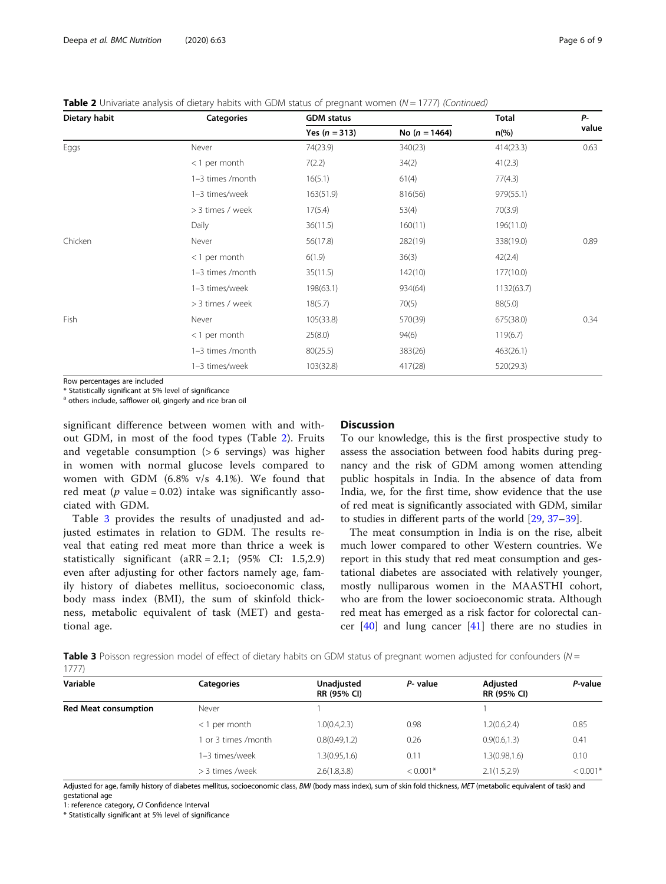| Table 2 Univariate analysis of dietary habits with GDM status of pregnant women (N = 1777) (Continued) |  |
|--------------------------------------------------------------------------------------------------------|--|
|--------------------------------------------------------------------------------------------------------|--|

| Dietary habit | <b>Categories</b> | <b>GDM</b> status |                 | <b>Total</b><br>$n\left(\%\right)$ | P-    |
|---------------|-------------------|-------------------|-----------------|------------------------------------|-------|
|               |                   | Yes $(n = 313)$   | No $(n = 1464)$ |                                    | value |
| Eggs          | Never             | 74(23.9)          | 340(23)         | 414(23.3)                          | 0.63  |
|               | $<$ 1 per month   | 7(2.2)            | 34(2)           | 41(2.3)                            |       |
|               | 1-3 times /month  | 16(5.1)           | 61(4)           | 77(4.3)                            |       |
|               | 1-3 times/week    | 163(51.9)         | 816(56)         | 979(55.1)                          |       |
|               | > 3 times / week  | 17(5.4)           | 53(4)           | 70(3.9)                            |       |
|               | Daily             | 36(11.5)          | 160(11)         | 196(11.0)                          |       |
| Chicken       | Never             | 56(17.8)          | 282(19)         | 338(19.0)                          | 0.89  |
|               | $<$ 1 per month   | 6(1.9)            | 36(3)           | 42(2.4)                            |       |
|               | 1-3 times /month  | 35(11.5)          | 142(10)         | 177(10.0)                          |       |
|               | 1-3 times/week    | 198(63.1)         | 934(64)         | 1132(63.7)                         |       |
|               | > 3 times / week  | 18(5.7)           | 70(5)           | 88(5.0)                            |       |
| Fish          | Never             | 105(33.8)         | 570(39)         | 675(38.0)                          | 0.34  |
|               | $<$ 1 per month   | 25(8.0)           | 94(6)           | 119(6.7)                           |       |
|               | 1-3 times /month  | 80(25.5)          | 383(26)         | 463(26.1)                          |       |
|               | 1-3 times/week    | 103(32.8)         | 417(28)         | 520(29.3)                          |       |

Row percentages are included

\* Statistically significant at 5% level of significance

<sup>a</sup> others include, safflower oil, gingerly and rice bran oil

significant difference between women with and without GDM, in most of the food types (Table [2\)](#page-4-0). Fruits and vegetable consumption (> 6 servings) was higher in women with normal glucose levels compared to women with GDM (6.8% v/s 4.1%). We found that red meat ( $p$  value = 0.02) intake was significantly associated with GDM.

Table 3 provides the results of unadjusted and adjusted estimates in relation to GDM. The results reveal that eating red meat more than thrice a week is statistically significant  $(aRR = 2.1; (95\% \text{ CI: } 1.5,2.9)$ even after adjusting for other factors namely age, family history of diabetes mellitus, socioeconomic class, body mass index (BMI), the sum of skinfold thickness, metabolic equivalent of task (MET) and gestational age.

#### **Discussion**

To our knowledge, this is the first prospective study to assess the association between food habits during pregnancy and the risk of GDM among women attending public hospitals in India. In the absence of data from India, we, for the first time, show evidence that the use of red meat is significantly associated with GDM, similar to studies in different parts of the world [[29,](#page-7-0) [37](#page-7-0)–[39](#page-7-0)].

The meat consumption in India is on the rise, albeit much lower compared to other Western countries. We report in this study that red meat consumption and gestational diabetes are associated with relatively younger, mostly nulliparous women in the MAASTHI cohort, who are from the lower socioeconomic strata. Although red meat has emerged as a risk factor for colorectal cancer [\[40](#page-7-0)] and lung cancer [[41\]](#page-8-0) there are no studies in

**Table 3** Poisson regression model of effect of dietary habits on GDM status of pregnant women adjusted for confounders ( $N =$ 1777)

| Variable                    | <b>Categories</b> | Unadjusted<br>RR (95% CI) | P- value   | Adjusted<br>RR (95% CI) | P-value    |
|-----------------------------|-------------------|---------------------------|------------|-------------------------|------------|
| <b>Red Meat consumption</b> | Never             |                           |            |                         |            |
|                             | $<$ 1 per month   | 1.0(0.4, 2.3)             | 0.98       | 1.2(0.6, 2.4)           | 0.85       |
|                             | or 3 times /month | 0.8(0.49, 1.2)            | 0.26       | 0.9(0.6, 1.3)           | 0.41       |
|                             | 1–3 times/week    | .3(0.95, 1.6)             | 0.11       | 1.3(0.98, 1.6)          | 0.10       |
|                             | > 3 times /week   | 2.6(1.8, 3.8)             | $< 0.001*$ | 2.1(1.5,2.9)            | $< 0.001*$ |

Adjusted for age, family history of diabetes mellitus, socioeconomic class, BMI (body mass index), sum of skin fold thickness, MET (metabolic equivalent of task) and gestational age

1: reference category, CI Confidence Interval

\* Statistically significant at 5% level of significance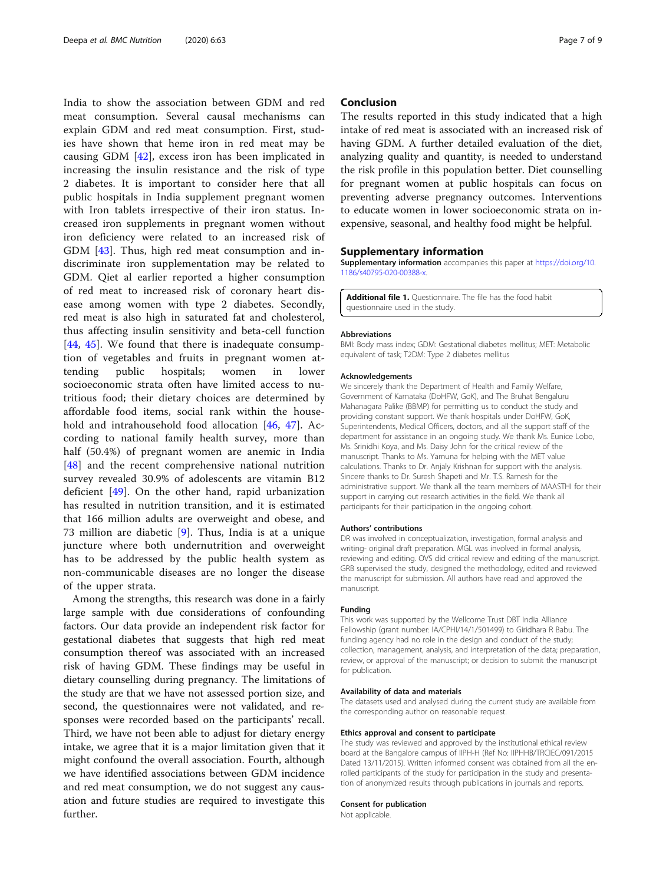<span id="page-6-0"></span>India to show the association between GDM and red meat consumption. Several causal mechanisms can explain GDM and red meat consumption. First, studies have shown that heme iron in red meat may be causing GDM [[42\]](#page-8-0), excess iron has been implicated in increasing the insulin resistance and the risk of type 2 diabetes. It is important to consider here that all public hospitals in India supplement pregnant women with Iron tablets irrespective of their iron status. Increased iron supplements in pregnant women without iron deficiency were related to an increased risk of GDM [[43\]](#page-8-0). Thus, high red meat consumption and indiscriminate iron supplementation may be related to GDM. Qiet al earlier reported a higher consumption of red meat to increased risk of coronary heart disease among women with type 2 diabetes. Secondly, red meat is also high in saturated fat and cholesterol, thus affecting insulin sensitivity and beta-cell function [[44,](#page-8-0) [45](#page-8-0)]. We found that there is inadequate consumption of vegetables and fruits in pregnant women attending public hospitals; women in lower socioeconomic strata often have limited access to nutritious food; their dietary choices are determined by affordable food items, social rank within the household and intrahousehold food allocation [[46,](#page-8-0) [47](#page-8-0)]. According to national family health survey, more than half (50.4%) of pregnant women are anemic in India [[48\]](#page-8-0) and the recent comprehensive national nutrition survey revealed 30.9% of adolescents are vitamin B12 deficient [[49\]](#page-8-0). On the other hand, rapid urbanization has resulted in nutrition transition, and it is estimated that 166 million adults are overweight and obese, and 73 million are diabetic [[9\]](#page-7-0). Thus, India is at a unique juncture where both undernutrition and overweight has to be addressed by the public health system as non-communicable diseases are no longer the disease of the upper strata.

Among the strengths, this research was done in a fairly large sample with due considerations of confounding factors. Our data provide an independent risk factor for gestational diabetes that suggests that high red meat consumption thereof was associated with an increased risk of having GDM. These findings may be useful in dietary counselling during pregnancy. The limitations of the study are that we have not assessed portion size, and second, the questionnaires were not validated, and responses were recorded based on the participants' recall. Third, we have not been able to adjust for dietary energy intake, we agree that it is a major limitation given that it might confound the overall association. Fourth, although we have identified associations between GDM incidence and red meat consumption, we do not suggest any causation and future studies are required to investigate this further.

#### Conclusion

The results reported in this study indicated that a high intake of red meat is associated with an increased risk of having GDM. A further detailed evaluation of the diet, analyzing quality and quantity, is needed to understand the risk profile in this population better. Diet counselling for pregnant women at public hospitals can focus on preventing adverse pregnancy outcomes. Interventions to educate women in lower socioeconomic strata on inexpensive, seasonal, and healthy food might be helpful.

#### Supplementary information

Supplementary information accompanies this paper at [https://doi.org/10.](https://doi.org/10.1186/s40795-020-00388-x) [1186/s40795-020-00388-x.](https://doi.org/10.1186/s40795-020-00388-x)

Additional file 1. Questionnaire. The file has the food habit questionnaire used in the study.

#### Abbreviations

BMI: Body mass index; GDM: Gestational diabetes mellitus; MET: Metabolic equivalent of task; T2DM: Type 2 diabetes mellitus

#### Acknowledgements

We sincerely thank the Department of Health and Family Welfare, Government of Karnataka (DoHFW, GoK), and The Bruhat Bengaluru Mahanagara Palike (BBMP) for permitting us to conduct the study and providing constant support. We thank hospitals under DoHFW, GoK, Superintendents, Medical Officers, doctors, and all the support staff of the department for assistance in an ongoing study. We thank Ms. Eunice Lobo, Ms. Srinidhi Koya, and Ms. Daisy John for the critical review of the manuscript. Thanks to Ms. Yamuna for helping with the MET value calculations. Thanks to Dr. Anjaly Krishnan for support with the analysis. Sincere thanks to Dr. Suresh Shapeti and Mr. T.S. Ramesh for the administrative support. We thank all the team members of MAASTHI for their support in carrying out research activities in the field. We thank all participants for their participation in the ongoing cohort.

#### Authors' contributions

DR was involved in conceptualization, investigation, formal analysis and writing- original draft preparation. MGL was involved in formal analysis, reviewing and editing. OVS did critical review and editing of the manuscript. GRB supervised the study, designed the methodology, edited and reviewed the manuscript for submission. All authors have read and approved the manuscript.

#### Funding

This work was supported by the Wellcome Trust DBT India Alliance Fellowship (grant number: IA/CPHI/14/1/501499) to Giridhara R Babu. The funding agency had no role in the design and conduct of the study; collection, management, analysis, and interpretation of the data; preparation, review, or approval of the manuscript; or decision to submit the manuscript for publication.

#### Availability of data and materials

The datasets used and analysed during the current study are available from the corresponding author on reasonable request.

#### Ethics approval and consent to participate

The study was reviewed and approved by the institutional ethical review board at the Bangalore campus of IIPH-H (Ref No: IIPHHB/TRCIEC/091/2015 Dated 13/11/2015). Written informed consent was obtained from all the enrolled participants of the study for participation in the study and presentation of anonymized results through publications in journals and reports.

#### Consent for publication

Not applicable.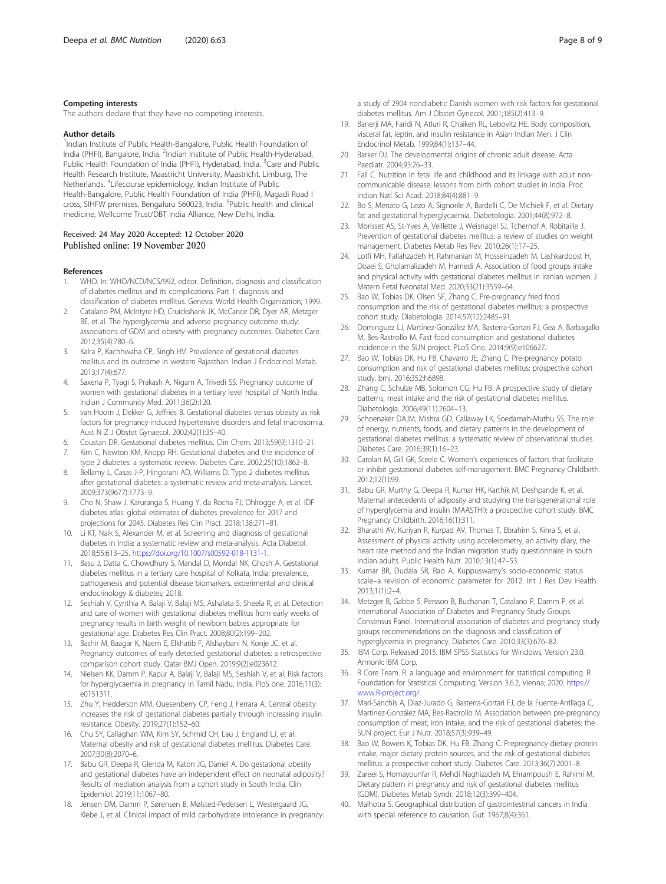#### <span id="page-7-0"></span>Competing interests

The authors declare that they have no competing interests.

#### Author details

<sup>1</sup>Indian Institute of Public Health-Bangalore, Public Health Foundation of India (PHFI), Bangalore, India. <sup>2</sup>Indian Institute of Public Health-Hyderabad, Public Health Foundation of India (PHFI), Hyderabad, India. <sup>3</sup>Care and Public Health Research Institute, Maastricht University, Maastricht, Limburg, The Netherlands. <sup>4</sup> Lifecourse epidemiology, Indian Institute of Public Health-Bangalore, Public Health Foundation of India (PHFI), Magadi Road I cross, SIHFW premises, Bengaluru 560023, India. <sup>5</sup>Public health and clinical medicine, Wellcome Trust/DBT India Alliance, New Delhi, India.

#### Received: 24 May 2020 Accepted: 12 October 2020 Published online: 19 November 2020

#### References

- WHO. In: WHO/NCD/NCS/992, editor. Definition, diagnosis and classification of diabetes mellitus and its complications. Part 1: diagnosis and classification of diabetes mellitus. Geneva: World Health Organization; 1999.
- 2. Catalano PM, McIntyre HD, Cruickshank JK, McCance DR, Dyer AR, Metzger BE, et al. The hyperglycemia and adverse pregnancy outcome study: associations of GDM and obesity with pregnancy outcomes. Diabetes Care. 2012;35(4):780–6.
- 3. Kalra P, Kachhwaha CP, Singh HV. Prevalence of gestational diabetes mellitus and its outcome in western Rajasthan. Indian J Endocrinol Metab. 2013;17(4):677.
- 4. Saxena P, Tyagi S, Prakash A, Nigam A, Trivedi SS. Pregnancy outcome of women with gestational diabetes in a tertiary level hospital of North India. Indian J Community Med. 2011;36(2):120.
- van Hoorn J, Dekker G, Jeffries B. Gestational diabetes versus obesity as risk factors for pregnancy-induced hypertensive disorders and fetal macrosomia. Aust N Z J Obstet Gynaecol. 2002;42(1):35–40.
- 6. Coustan DR. Gestational diabetes mellitus. Clin Chem. 2013;59(9):1310–21.
- 7. Kim C, Newton KM, Knopp RH. Gestational diabetes and the incidence of type 2 diabetes: a systematic review. Diabetes Care. 2002;25(10):1862–8.
- 8. Bellamy L, Casas J-P, Hingorani AD, Williams D. Type 2 diabetes mellitus after gestational diabetes: a systematic review and meta-analysis. Lancet. 2009;373(9677):1773–9.
- 9. Cho N, Shaw J, Karuranga S, Huang Y, da Rocha FJ, Ohlrogge A, et al. IDF diabetes atlas: global estimates of diabetes prevalence for 2017 and projections for 2045. Diabetes Res Clin Pract. 2018;138:271–81.
- 10. Li KT, Naik S, Alexander M, et al. Screening and diagnosis of gestational diabetes in India: a systematic review and meta-analysis. Acta Diabetol. 2018;55:613–25. [https://doi.org/10.1007/s00592-018-1131-1.](https://doi.org/10.1007/s00592-018-1131-1)
- 11. Basu J, Datta C, Chowdhury S, Mandal D, Mondal NK, Ghosh A. Gestational diabetes mellitus in a tertiary care hospital of Kolkata, India: prevalence, pathogenesis and potential disease biomarkers. experimental and clinical endocrinology & diabetes; 2018.
- 12. Seshiah V, Cynthia A, Balaji V, Balaji MS, Ashalata S, Sheela R, et al. Detection and care of women with gestational diabetes mellitus from early weeks of pregnancy results in birth weight of newborn babies appropriate for gestational age. Diabetes Res Clin Pract. 2008;80(2):199–202.
- 13. Bashir M, Baagar K, Naem E, Elkhatib F, Alshaybani N, Konje JC, et al. Pregnancy outcomes of early detected gestational diabetes: a retrospective comparison cohort study. Qatar BMJ Open. 2019;9(2):e023612.
- 14. Nielsen KK, Damm P, Kapur A, Balaji V, Balaji MS, Seshiah V, et al. Risk factors for hyperglycaemia in pregnancy in Tamil Nadu, India. PloS one. 2016;11(3): e0151311.
- 15. Zhu Y, Hedderson MM, Quesenberry CP, Feng J, Ferrara A. Central obesity increases the risk of gestational diabetes partially through increasing insulin resistance. Obesity. 2019;27(1):152–60.
- 16. Chu SY, Callaghan WM, Kim SY, Schmid CH, Lau J, England LJ, et al. Maternal obesity and risk of gestational diabetes mellitus. Diabetes Care. 2007;30(8):2070–6.
- 17. Babu GR, Deepa R, Glenda M, Katon JG, Daniel A. Do gestational obesity and gestational diabetes have an independent effect on neonatal adiposity? Results of mediation analysis from a cohort study in South India. Clin Epidemiol. 2019;11:1067–80.
- 18. Jensen DM, Damm P, Sørensen B, Mølsted-Pedersen L, Westergaard JG, Klebe J, et al. Clinical impact of mild carbohydrate intolerance in pregnancy:

a study of 2904 nondiabetic Danish women with risk factors for gestational diabetes mellitus. Am J Obstet Gynecol. 2001;185(2):413–9.

- 19. Banerji MA, Faridi N, Atluri R, Chaiken RL, Lebovitz HE. Body composition, visceral fat, leptin, and insulin resistance in Asian Indian Men. J Clin Endocrinol Metab. 1999;84(1):137–44.
- 20. Barker DJ. The developmental origins of chronic adult disease. Acta Paediatr. 2004;93:26–33.
- 21. Fall C. Nutrition in fetal life and childhood and its linkage with adult noncommunicable disease: lessons from birth cohort studies in India. Proc Indian Natl Sci Acad. 2018;84(4):881–9.
- 22. Bo S, Menato G, Lezo A, Signorile A, Bardelli C, De Michieli F, et al. Dietary fat and gestational hyperglycaemia. Diabetologia. 2001;44(8):972–8.
- 23. Morisset AS, St-Yves A, Veillette J, Weisnagel SJ, Tchernof A, Robitaille J. Prevention of gestational diabetes mellitus: a review of studies on weight management. Diabetes Metab Res Rev. 2010;26(1):17–25.
- 24. Lotfi MH, Fallahzadeh H, Rahmanian M, Hosseinzadeh M, Lashkardoost H, Doaei S, Gholamalizadeh M, Hamedi A. Association of food groups intake and physical activity with gestational diabetes mellitus in Iranian women. J Matern Fetal Neonatal Med. 2020;33(21):3559–64.
- 25. Bao W, Tobias DK, Olsen SF, Zhang C. Pre-pregnancy fried food consumption and the risk of gestational diabetes mellitus: a prospective cohort study. Diabetologia. 2014;57(12):2485–91.
- 26. Dominguez LJ, Martínez-González MA, Basterra-Gortari FJ, Gea A, Barbagallo M, Bes-Rastrollo M. Fast food consumption and gestational diabetes incidence in the SUN project. PLoS One. 2014;9(9):e106627.
- 27. Bao W, Tobias DK, Hu FB, Chavarro JE, Zhang C. Pre-pregnancy potato consumption and risk of gestational diabetes mellitus: prospective cohort study. bmj. 2016;352:h6898.
- 28. Zhang C, Schulze MB, Solomon CG, Hu FB. A prospective study of dietary patterns, meat intake and the risk of gestational diabetes mellitus. Diabetologia. 2006;49(11):2604–13.
- 29. Schoenaker DAJM, Mishra GD, Callaway LK, Soedamah-Muthu SS. The role of energy, nutrients, foods, and dietary patterns in the development of gestational diabetes mellitus: a systematic review of observational studies. Diabetes Care. 2016;39(1):16–23.
- 30. Carolan M, Gill GK, Steele C. Women's experiences of factors that facilitate or inhibit gestational diabetes self-management. BMC Pregnancy Childbirth. 2012;12(1):99.
- 31. Babu GR, Murthy G, Deepa R, Kumar HK, Karthik M, Deshpande K, et al. Maternal antecedents of adiposity and studying the transgenerational role of hyperglycemia and insulin (MAASTHI): a prospective cohort study. BMC Pregnancy Childbirth. 2016;16(1):311.
- Bharathi AV, Kuriyan R, Kurpad AV, Thomas T, Ebrahim S, Kinra S, et al. Assessment of physical activity using accelerometry, an activity diary, the heart rate method and the Indian migration study questionnaire in south Indian adults. Public Health Nutr. 2010;13(1):47–53.
- 33. Kumar BR, Dudala SR, Rao A. Kuppuswamy's socio-economic status scale–a revision of economic parameter for 2012. Int J Res Dev Health. 2013;1(1):2–4.
- 34. Metzger B, Gabbe S, Persson B, Buchanan T, Catalano P, Damm P, et al. International Association of Diabetes and Pregnancy Study Groups Consensus Panel. International association of diabetes and pregnancy study groups recommendations on the diagnosis and classification of hyperglycemia in pregnancy. Diabetes Care. 2010;33(3):676–82.
- 35. IBM Corp. Released 2015. IBM SPSS Statistics for Windows, Version 23.0. Armonk: IBM Corp.
- 36. R Core Team. R: a language and environment for statistical computing. R Foundation for Statistical Computing, Version 3.6.2, Vienna; 2020. [https://](https://www.R-project.org/) [www.R-project.org/](https://www.R-project.org/).
- 37. Marí-Sanchis A, Díaz-Jurado G, Basterra-Gortari FJ, de la Fuente-Arrillaga C, Martínez-González MA, Bes-Rastrollo M. Association between pre-pregnancy consumption of meat, iron intake, and the risk of gestational diabetes: the SUN project. Eur J Nutr. 2018;57(3):939–49.
- 38. Bao W, Bowers K, Tobias DK, Hu FB, Zhang C. Prepregnancy dietary protein intake, major dietary protein sources, and the risk of gestational diabetes mellitus: a prospective cohort study. Diabetes Care. 2013;36(7):2001–8.
- 39. Zareei S, Homayounfar R, Mehdi Naghizadeh M, Ehrampoush E, Rahimi M. Dietary pattern in pregnancy and risk of gestational diabetes mellitus (GDM). Diabetes Metab Syndr. 2018;12(3):399–404.
- 40. Malhotra S. Geographical distribution of gastrointestinal cancers in India with special reference to causation. Gut. 1967;8(4):361.